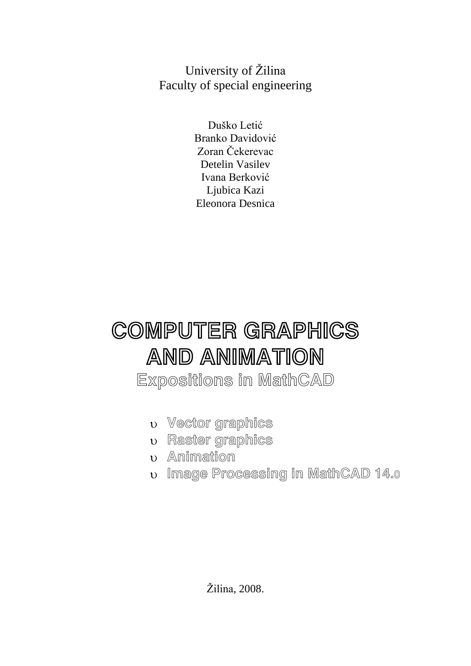University of Žilina Faculty of special engineering

> Duško Letić Branko Davidović Zoran Čekerevac Detelin Vasilev Ivana Berković Ljubica Kazi Eleonora Desnica

# COMPUTER GRAPHICS AND ANIMATION

Expositions in MathCAD

- Vector graphics
- Raster graphics
- **v** Animation
- Image Processing in MathCAD 14.0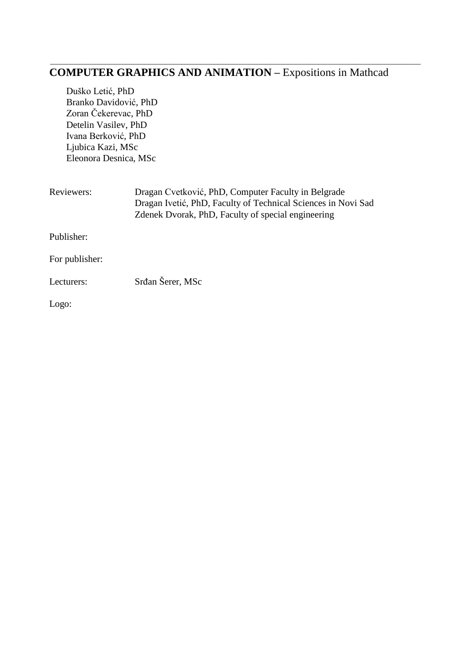#### **COMPUTER GRAPHICS AND ANIMATION –** Expositions in Mathcad

\_\_\_\_\_\_\_\_\_\_\_\_\_\_\_\_\_\_\_\_\_\_\_\_\_\_\_\_\_\_\_\_\_\_\_\_\_\_\_\_\_\_\_\_\_\_\_\_\_\_\_\_\_\_\_\_\_\_\_\_\_\_\_\_\_\_\_\_\_\_\_\_\_\_\_\_\_\_\_\_\_\_\_\_\_\_\_\_\_\_\_\_\_

Duško Letić, PhD Branko Davidović, PhD Zoran Čekerevac, PhD Detelin Vasilev, PhD Ivana Berković, PhD Ljubica Kazi, MSc Eleonora Desnica, MSc

| Reviewers:     | Dragan Cvetković, PhD, Computer Faculty in Belgrade<br>Dragan Ivetić, PhD, Faculty of Technical Sciences in Novi Sad<br>Zdenek Dvorak, PhD, Faculty of special engineering |
|----------------|----------------------------------------------------------------------------------------------------------------------------------------------------------------------------|
| Publisher:     |                                                                                                                                                                            |
| For publisher: |                                                                                                                                                                            |
| Lecturers:     | Srđan Šerer, MSc                                                                                                                                                           |
| Logo:          |                                                                                                                                                                            |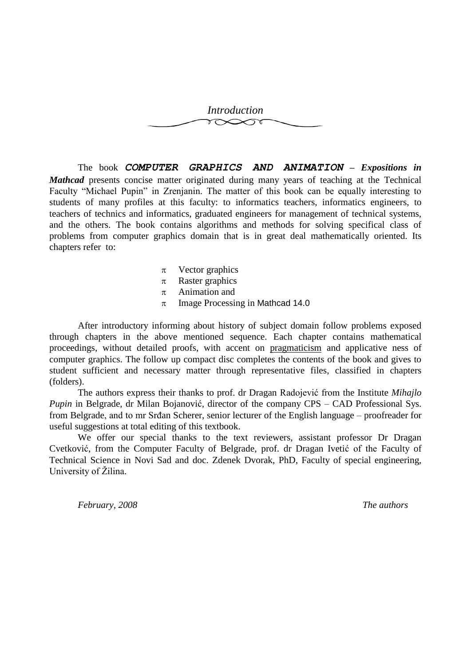

The book *COMPUTER GRAPHICS AND ANIMATION – Expositions in Mathcad* presents concise matter originated during many years of teaching at the Technical Faculty "Michael Pupin" in Zrenjanin. The matter of this book can be equally interesting to students of many profiles at this faculty: to informatics teachers, informatics engineers, to teachers of technics and informatics, graduated engineers for management of technical systems, and the others. The book contains algorithms and methods for solving specifical class of problems from computer graphics domain that is in great deal mathematically oriented. Its chapters refer to:

- $\pi$  Vector graphics
- $\pi$  Raster graphics
- $\pi$  Animation and
- $\pi$  Image Processing in Mathcad 14.0

After introductory informing about history of subject domain follow problems exposed through chapters in the above mentioned sequence. Each chapter contains mathematical proceedings, without detailed proofs, with accent on pragmaticism and applicative ness of computer graphics. The follow up compact disc completes the contents of the book and gives to student sufficient and necessary matter through representative files, classified in chapters (folders).

The authors express their thanks to prof. dr Dragan Radojević from the Institute *Mihajlo Pupin* in Belgrade, dr Milan Bojanović, director of the company CPS – CAD Professional Sys. from Belgrade, and to mr Srđan Scherer, senior lecturer of the English language – proofreader for useful suggestions at total editing of this textbook.

We offer our special thanks to the text reviewers, assistant professor Dr Dragan Cvetković, from the Computer Faculty of Belgrade, prof. dr Dragan Ivetić of the Faculty of Technical Science in Novi Sad and doc. Zdenek Dvorak, PhD, Faculty of special engineering, University of Žilina.

*February, 2008 The authors*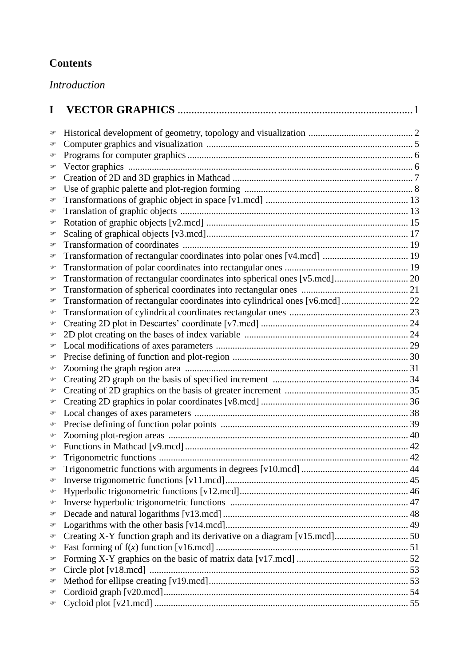## **Contents**

*Introduction*

| I              |                                                                              |  |
|----------------|------------------------------------------------------------------------------|--|
| ☞              |                                                                              |  |
| ☞              |                                                                              |  |
| ☞              |                                                                              |  |
| ☞              |                                                                              |  |
| ☞              |                                                                              |  |
| ☞              |                                                                              |  |
| ☞              |                                                                              |  |
| ☞              |                                                                              |  |
| ☞              |                                                                              |  |
| ☞              |                                                                              |  |
| ☞              |                                                                              |  |
| ☞              |                                                                              |  |
| ☞              |                                                                              |  |
| ☞              |                                                                              |  |
| ☞              |                                                                              |  |
| ☞              | Transformation of rectangular coordinates into cylindrical ones [v6.mcd]  22 |  |
| ☞              |                                                                              |  |
| ☞              |                                                                              |  |
| ☞              |                                                                              |  |
| ☞              |                                                                              |  |
| ☞              |                                                                              |  |
| ☞              |                                                                              |  |
| ☞              |                                                                              |  |
| ☞              |                                                                              |  |
| ☞              |                                                                              |  |
| ☞              |                                                                              |  |
| ☞              |                                                                              |  |
| ☞              |                                                                              |  |
|                |                                                                              |  |
|                |                                                                              |  |
| $\circledcirc$ |                                                                              |  |
| ☞              |                                                                              |  |
| ☞              |                                                                              |  |
| ☞              |                                                                              |  |
| ☞              |                                                                              |  |
| ☞              |                                                                              |  |
| ☞              |                                                                              |  |
| ☞              |                                                                              |  |
| ☞              |                                                                              |  |
| ☞              |                                                                              |  |
| ☞              |                                                                              |  |
| ☞              |                                                                              |  |
| ☞              |                                                                              |  |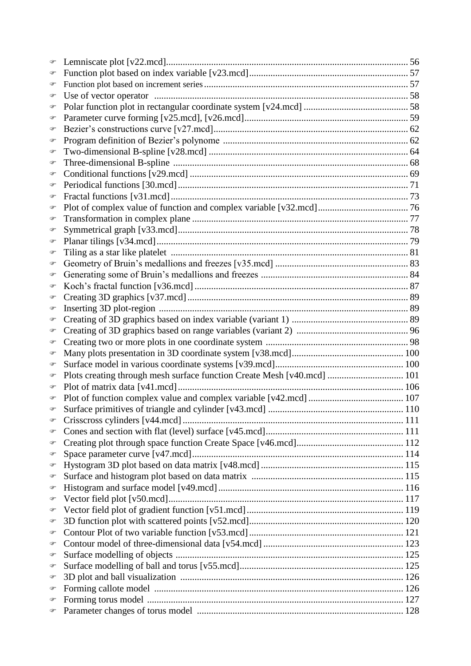| ☞              |                                                                         |  |
|----------------|-------------------------------------------------------------------------|--|
| ☞              |                                                                         |  |
| ☞              |                                                                         |  |
| ☞              |                                                                         |  |
| ☞              |                                                                         |  |
| ☞              |                                                                         |  |
| ☞              |                                                                         |  |
| ☞              |                                                                         |  |
| ☞              |                                                                         |  |
| ☞              |                                                                         |  |
| ☞              |                                                                         |  |
| ☞              |                                                                         |  |
| ☞              |                                                                         |  |
| ☞              |                                                                         |  |
| ☞              |                                                                         |  |
| ☞              |                                                                         |  |
| ☞              |                                                                         |  |
| ☞              |                                                                         |  |
| ☞              |                                                                         |  |
| ☞              |                                                                         |  |
| ☞              |                                                                         |  |
| ☞              |                                                                         |  |
| ☞              |                                                                         |  |
| ☞              |                                                                         |  |
| ☞              |                                                                         |  |
| ☞              |                                                                         |  |
| ☞              |                                                                         |  |
| ☞              |                                                                         |  |
| ☞              | Plots creating through mesh surface function Create Mesh [v40.mcd]  101 |  |
| ☞              |                                                                         |  |
| ☞              |                                                                         |  |
|                |                                                                         |  |
| $\circledcirc$ |                                                                         |  |
| ☞              |                                                                         |  |
| ☞              |                                                                         |  |
| ☞              |                                                                         |  |
| ☞              |                                                                         |  |
| ☞              |                                                                         |  |
| ☞              |                                                                         |  |
| ☞              |                                                                         |  |
| ☞              |                                                                         |  |
| ☞              |                                                                         |  |
| ☞              |                                                                         |  |
| ☞              |                                                                         |  |
| ☞              |                                                                         |  |
| ☞              |                                                                         |  |
| ☞              |                                                                         |  |
| ☞              |                                                                         |  |
| ☞              |                                                                         |  |
| F              |                                                                         |  |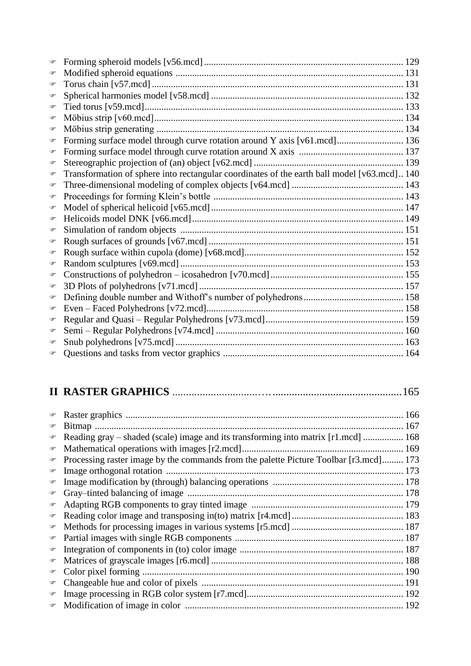| P              |                                                                                             |  |
|----------------|---------------------------------------------------------------------------------------------|--|
| ☞              |                                                                                             |  |
| $\circledcirc$ |                                                                                             |  |
| ☞              |                                                                                             |  |
| ☞              |                                                                                             |  |
| P              |                                                                                             |  |
| ☞              | Forming surface model through curve rotation around Y axis [v61.mcd] 136                    |  |
| $\circledcirc$ |                                                                                             |  |
| P              |                                                                                             |  |
| ☞              | Transformation of sphere into rectangular coordinates of the earth ball model [v63.mcd] 140 |  |
| $\circledcirc$ |                                                                                             |  |
| $\circledcirc$ |                                                                                             |  |
| ☞              |                                                                                             |  |
| ☞              |                                                                                             |  |
| ☞              |                                                                                             |  |
| ☞              |                                                                                             |  |
| ☞              |                                                                                             |  |
| ☞              |                                                                                             |  |
| ☞              |                                                                                             |  |
| P              |                                                                                             |  |
| P              |                                                                                             |  |
| ☞              |                                                                                             |  |
| ☞              |                                                                                             |  |
| P              |                                                                                             |  |
| P              |                                                                                             |  |
|                |                                                                                             |  |
|                |                                                                                             |  |

## **II RASTER GRAPHICS** ...............................…................................................165

| $\circledast$       |                                                                                       |  |
|---------------------|---------------------------------------------------------------------------------------|--|
| ☞                   |                                                                                       |  |
| $\circledast$       | Reading gray – shaded (scale) image and its transforming into matrix [r1.mcd]  168    |  |
| $\circledcirc$      |                                                                                       |  |
| $\circledcirc$      | Processing raster image by the commands from the palette Picture Toolbar [r3.mcd] 173 |  |
| $\circledast$       |                                                                                       |  |
| $\circledast$       |                                                                                       |  |
| $\mathcal{P}$       |                                                                                       |  |
| $\circledast$       |                                                                                       |  |
| $\circledast$       |                                                                                       |  |
| $\mathcal{P}$       |                                                                                       |  |
| $\mathcal{F}$       |                                                                                       |  |
| $\mathcal{F}$       |                                                                                       |  |
| $\circledcirc$      |                                                                                       |  |
| $\mathcal{Q}^{\mu}$ |                                                                                       |  |
| $\circledcirc$      |                                                                                       |  |
| $\circledast$       |                                                                                       |  |
| $\mathcal{P}$       |                                                                                       |  |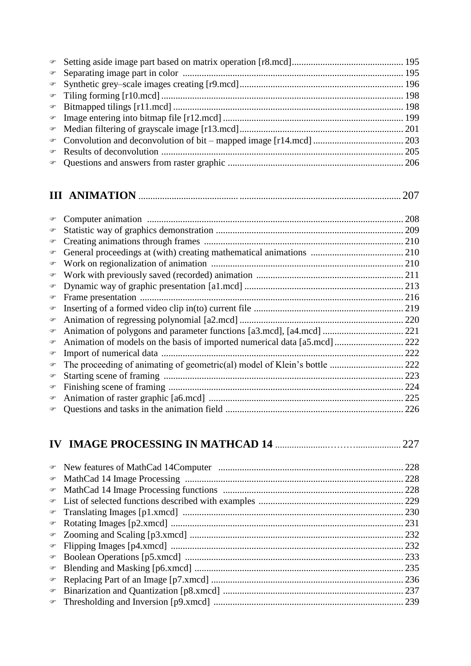## **III ANIMATION** .......................................... .................................................................... 207

| P              | 208 |
|----------------|-----|
| F              |     |
| P              |     |
| F              |     |
| ☞              |     |
| $\mathcal{P}$  |     |
| ☞              |     |
| $\circledast$  |     |
| ☞              |     |
| $\circledcirc$ |     |
| ☞              |     |
| ☞              |     |
| ☞              | 222 |
| $\circledast$  |     |
| $\circledcirc$ | 223 |
| $\circledcirc$ | 224 |
| ☞              |     |
| P              |     |
|                |     |

## **IV IMAGE PROCESSING IN MATHCAD 14** ......................………................... 227

| $\mathcal{F}$ |  |
|---------------|--|
|               |  |
|               |  |